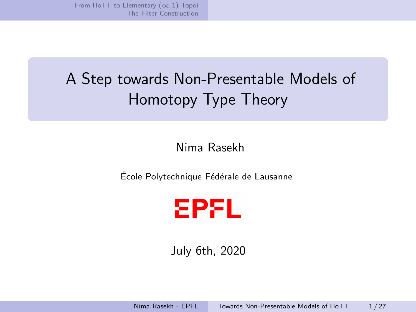# <span id="page-0-0"></span>A Step towards Non-Presentable Models of Homotopy Type Theory

## Nima Rasekh

École Polytechnique Fédérale de Lausanne



July 6th, 2020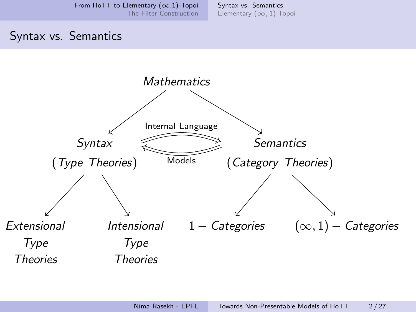[Syntax vs. Semantics](#page-1-0) [Elementary \(](#page-8-0)∞, 1)-Topoi

#### <span id="page-1-0"></span>Syntax vs. Semantics

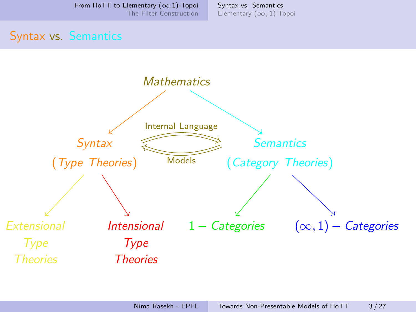[Syntax vs. Semantics](#page-1-0) [Elementary \(](#page-8-0)∞, 1)-Topoi

#### Syntax vs. Semantics

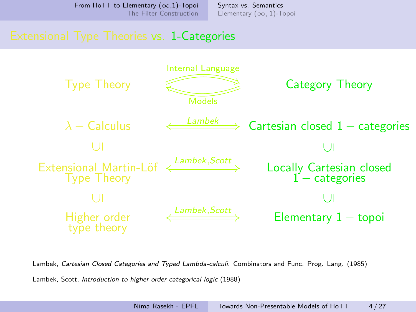[Syntax vs. Semantics](#page-1-0) [Elementary \(](#page-8-0)∞, 1)-Topoi

#### Extensional Type Theories vs. 1-Categories



Lambek, Cartesian Closed Categories and Typed Lambda-calculi. Combinators and Func. Prog. Lang. (1985)

Lambek, Scott, Introduction to higher order categorical logic (1988)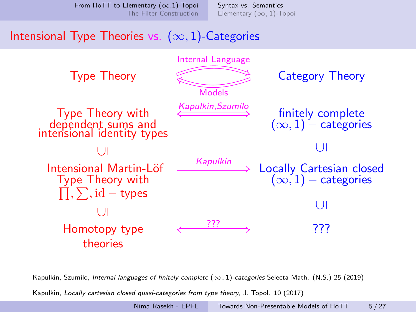[Syntax vs. Semantics](#page-1-0) [Elementary \(](#page-8-0)∞, 1)-Topoi

# Intensional Type Theories vs.  $(\infty, 1)$ -Categories



Kapulkin, Szumilo, *Internal languages of finitely complete*  $(\infty, 1)$ -categories Selecta Math. (N.S.) 25 (2019)

Kapulkin, Locally cartesian closed quasi-categories from type theory, J. Topol. 10 (2017)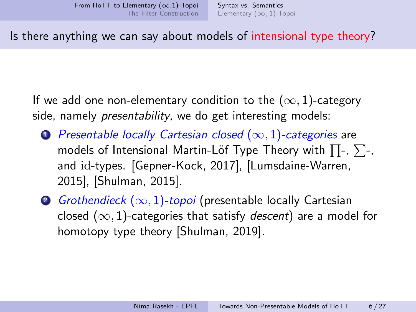Is there anything we can say about models of intensional type theory?

If we add one non-elementary condition to the  $(\infty, 1)$ -category side, namely *presentability*, we do get interesting models:

- **1** Presentable locally Cartesian closed  $(\infty, 1)$ -categories are models of Intensional Martin-Löf Type Theory with  $\prod$ -,  $\sum$ -, and id-types. [Gepner-Kock, 2017], [Lumsdaine-Warren, 2015], [Shulman, 2015].
- 2 Grothendieck  $(\infty, 1)$ -topoi (presentable locally Cartesian closed  $(\infty, 1)$ -categories that satisfy *descent*) are a model for homotopy type theory [Shulman, 2019].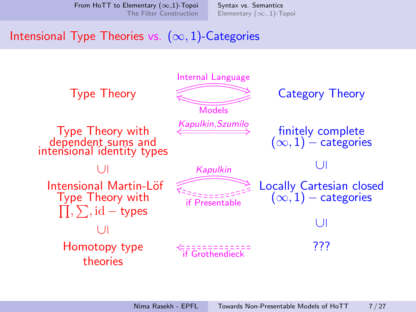[Syntax vs. Semantics](#page-1-0) [Elementary \(](#page-8-0)∞, 1)-Topoi

# Intensional Type Theories vs.  $(\infty, 1)$ -Categories

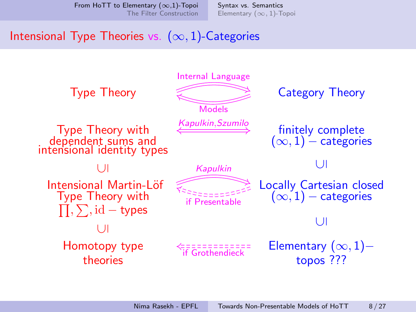[Syntax vs. Semantics](#page-1-0) [Elementary \(](#page-8-0)∞, 1)-Topoi

# Intensional Type Theories vs.  $(\infty, 1)$ -Categories

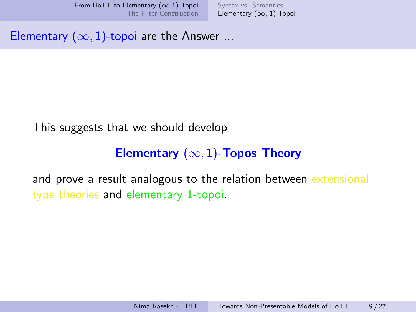[Syntax vs. Semantics](#page-1-0) [Elementary \(](#page-8-0)∞, 1)-Topoi

<span id="page-8-0"></span>Elementary  $(\infty, 1)$ -topoi are the Answer ...

#### This suggests that we should develop

# Elementary  $(\infty, 1)$ -Topos Theory

and prove a result analogous to the relation between extensional type theories and elementary 1-topoi.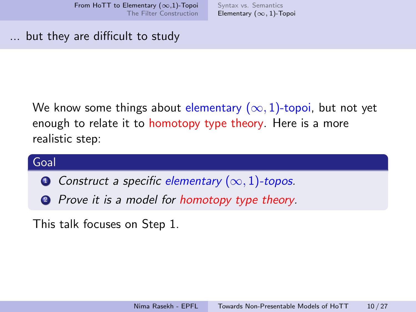[Syntax vs. Semantics](#page-1-0) [Elementary \(](#page-8-0)∞, 1)-Topoi

... but they are difficult to study

We know some things about elementary  $(\infty, 1)$ -topoi, but not yet enough to relate it to homotopy type theory. Here is a more realistic step:

# Goal

- **O** Construct a specific elementary  $(\infty, 1)$ -topos.
- **2** Prove it is a model for homotopy type theory.

This talk focuses on Step 1.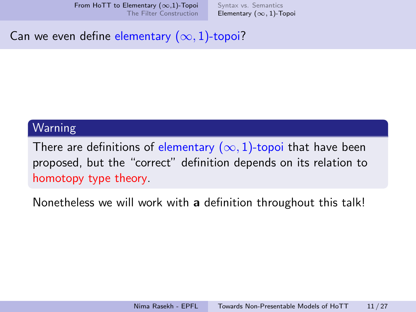[Syntax vs. Semantics](#page-1-0) [Elementary \(](#page-8-0)∞, 1)-Topoi

Can we even define elementary  $(\infty, 1)$ -topoi?

#### Warning

There are definitions of elementary  $(\infty, 1)$ -topoi that have been proposed, but the "correct" definition depends on its relation to homotopy type theory.

Nonetheless we will work with a definition throughout this talk!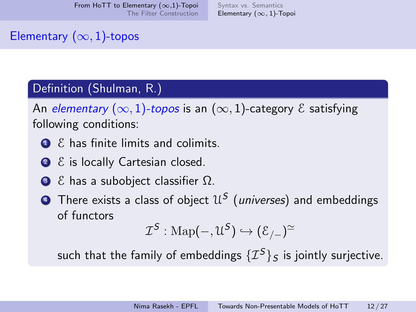[Syntax vs. Semantics](#page-1-0) [Elementary \(](#page-8-0)∞, 1)-Topoi

#### Elementary  $(\infty, 1)$ -topos

#### Definition (Shulman, R.)

An elementary  $(\infty, 1)$ -topos is an  $(\infty, 1)$ -category  $\mathcal E$  satisfying following conditions:

- $\bullet$  E has finite limits and colimits.
- 2 ε is locally Cartesian closed.
- $\bullet$   $\epsilon$  has a subobject classifier  $\Omega$ .
- $\bullet$  There exists a class of object  $\mathcal{U}^{\mathcal{S}}$  (universes) and embeddings of functors

$$
\mathcal{I}^{\mathcal{S}}:\operatorname{Map}(-,\mathfrak{U}^{\mathcal{S}})\hookrightarrow(\mathcal{E}_{/-})^{\simeq}
$$

such that the family of embeddings  $\{T^{S}\}_{S}$  is jointly surjective.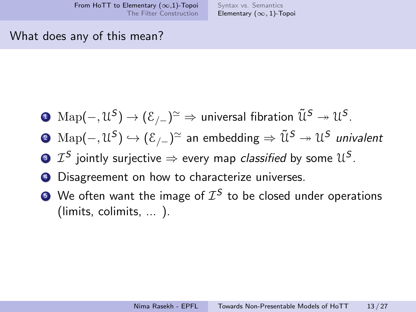#### What does any of this mean?

- $\bullet\ \mathop{\rm Map}(-,\mathfrak{U}^{\mathcal{S}})\to (\mathcal{E}_{/-})^{\simeq} \Rightarrow$  universal fibration  $\tilde{\mathfrak{U}}^{\mathcal{S}} \twoheadrightarrow \mathfrak{U}^{\mathcal{S}}.$
- ②  $\mathrm{Map}(-,\mathfrak{U}^S)\hookrightarrow(\mathcal{E}_{/-})^{\simeq}$  an embedding  $\Rightarrow\tilde{\mathfrak{U}}^S\twoheadrightarrow\mathfrak{U}^S$  *univalent*
- $\bm{v} \in \mathcal{I}^{\mathcal{S}}$  jointly surjective  $\Rightarrow$  every map *classified* by some  $\mathcal{U}^{\mathcal{S}}$ .
- <sup>4</sup> Disagreement on how to characterize universes.
- $\bullet$  We often want the image of  $\mathcal{I}^{\mathcal{S}}$  to be closed under operations (limits, colimits, ... ).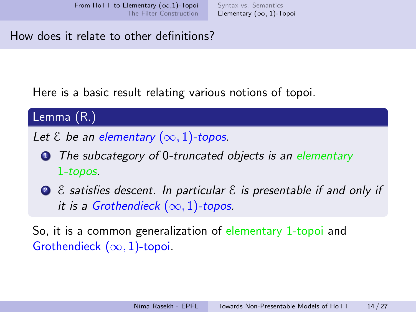[Syntax vs. Semantics](#page-1-0) [Elementary \(](#page-8-0)∞, 1)-Topoi

How does it relate to other definitions?

Here is a basic result relating various notions of topoi.

Lemma (R.)

Let  $\&$  be an elementary  $(\infty, 1)$ -topos.

- **1** The subcategory of 0-truncated objects is an elementary 1-topos.
- 2  $\epsilon$  satisfies descent. In particular  $\epsilon$  is presentable if and only if it is a Grothendieck  $(\infty, 1)$ -topos.

So, it is a common generalization of elementary 1-topoi and Grothendieck  $(\infty, 1)$ -topoi.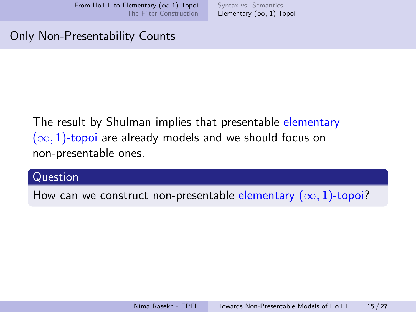[Syntax vs. Semantics](#page-1-0) [Elementary \(](#page-8-0)∞, 1)-Topoi

#### Only Non-Presentability Counts

# The result by Shulman implies that presentable elementary  $(\infty, 1)$ -topoi are already models and we should focus on non-presentable ones.

#### Question

How can we construct non-presentable elementary  $(\infty, 1)$ -topoi?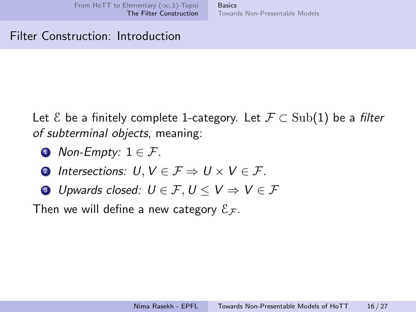Basics [Towards Non-Presentable Models](#page-22-0)

#### <span id="page-15-0"></span>Filter Construction: Introduction

Let  $\mathcal{E}$  be a finitely complete 1-category. Let  $\mathcal{F} \subset \text{Sub}(1)$  be a filter of subterminal objects, meaning:

- Non-Empty:  $1 \in \mathcal{F}$ .
- **2** Intersections:  $U, V \in \mathcal{F} \Rightarrow U \times V \in \mathcal{F}$ .
- **3** Upwards closed:  $U \in \mathcal{F}$ ,  $U \leq V \Rightarrow V \in \mathcal{F}$

Then we will define a new category  $\mathcal{E}_\mathcal{F}$ .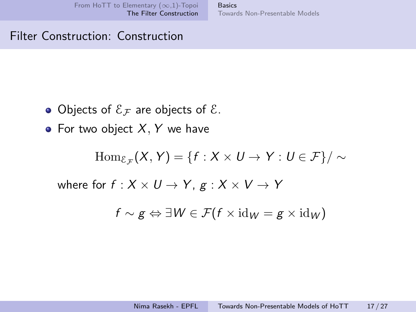**Basics** [Towards Non-Presentable Models](#page-22-0)

#### Filter Construction: Construction

- Objects of  $\mathcal{E}_F$  are objects of  $\mathcal{E}_F$ .
- For two object  $X, Y$  we have

$$
\operatorname{Hom}_{\mathcal{E}_{\mathcal{F}}}(X, Y) = \{f : X \times U \to Y : U \in \mathcal{F}\}/\sim
$$

where for  $f : X \times U \rightarrow Y$ ,  $g : X \times V \rightarrow Y$ 

$$
f \sim g \Leftrightarrow \exists W \in \mathcal{F}(f \times \mathrm{id}_W = g \times \mathrm{id}_W)
$$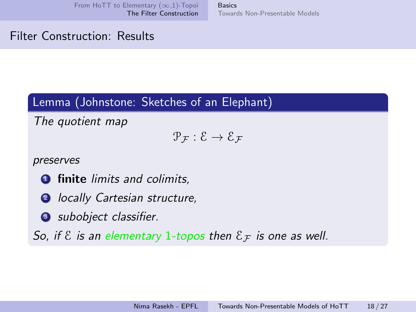Basics [Towards Non-Presentable Models](#page-22-0)

#### Filter Construction: Results

#### Lemma (Johnstone: Sketches of an Elephant)

The quotient map

 $\mathcal{P}_{\mathcal{F}} : \mathcal{E} \to \mathcal{E}_{\mathcal{F}}$ 

preserves

- **1** finite limits and colimits,
- **2** locally Cartesian structure,
- **3** subobject classifier.

So, if  $\epsilon$  is an elementary 1-topos then  $\epsilon_F$  is one as well.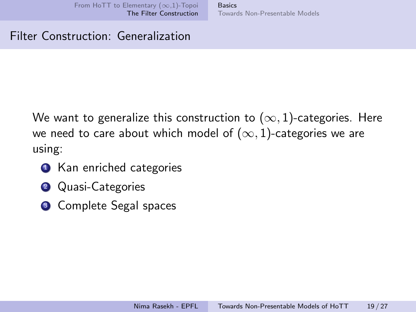**Basics** [Towards Non-Presentable Models](#page-22-0)

#### Filter Construction: Generalization

We want to generalize this construction to  $(\infty, 1)$ -categories. Here we need to care about which model of  $(\infty, 1)$ -categories we are using:

- **1** Kan enriched categories
- **2** Quasi-Categories
- **3** Complete Segal spaces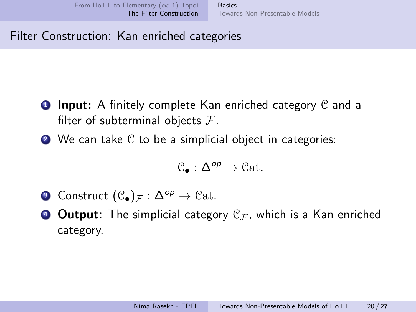## Filter Construction: Kan enriched categories

- **1 Input:** A finitely complete Kan enriched category  $C$  and a filter of subterminal objects  $\mathcal{F}$ .
- $\bullet$  We can take  $\circ$  to be a simplicial object in categories:

$$
\mathcal{C}_\bullet:\Delta^{op}\to\mathfrak{Cat}.
$$

- **3** Construct  $(\mathcal{C}_\bullet)_{\mathcal{F}} : \Delta^{op} \to \mathcal{C}\mathrm{at}.$
- **Output:** The simplicial category  $\mathcal{C}_{\mathcal{F}}$ , which is a Kan enriched category.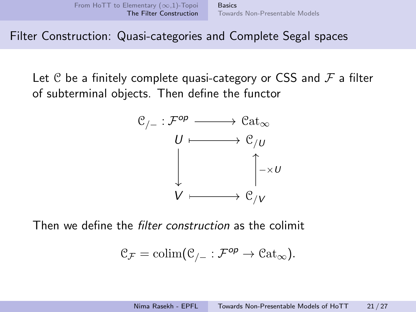**Basics** [Towards Non-Presentable Models](#page-22-0)

Filter Construction: Quasi-categories and Complete Segal spaces

Let C be a finitely complete quasi-category or CSS and  $\mathcal F$  a filter of subterminal objects. Then define the functor



Then we define the filter construction as the colimit

$$
\mathcal{C}_{\mathcal{F}} = \operatorname{colim}(\mathcal{C}_{/-} : \mathcal{F}^{op} \to \mathcal{C}\mathrm{at}_{\infty}).
$$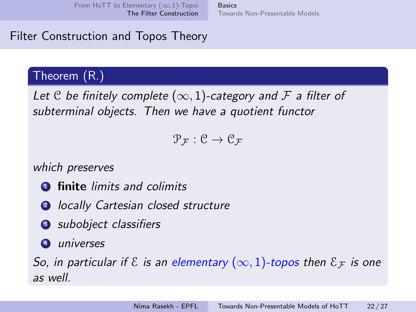**Basics** [Towards Non-Presentable Models](#page-22-0)

## Filter Construction and Topos Theory

## Theorem (R.)

Let C be finitely complete  $(\infty, 1)$ -category and F a filter of subterminal objects. Then we have a quotient functor

 $\mathcal{P}_{\mathcal{F}}: \mathcal{C} \to \mathcal{C}_{\mathcal{F}}$ 

which preserves

- **1** finite limits and colimits
- **2** locally Cartesian closed structure
- **3** subobject classifiers
- <sup>4</sup> universes

So, in particular if  $\mathcal E$  is an elementary  $(\infty,1)$ -topos then  $\mathcal E_{\mathcal F}$  is one as well.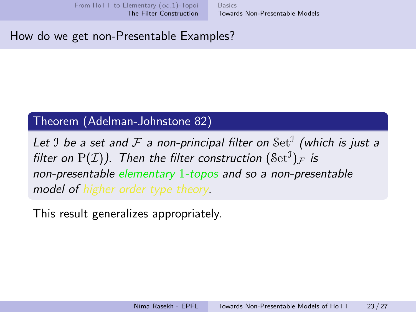#### <span id="page-22-0"></span>How do we get non-Presentable Examples?

#### Theorem (Adelman-Johnstone 82)

Let  $\mathfrak I$  be a set and  ${\mathcal F}$  a non-principal filter on  ${\rm Set}^{\mathfrak I}$  (which is just a filter on  $\mathrm{P}({\mathcal{I}}))$ . Then the filter construction  $(\mathrm{Set}^{\mathrm{J}})_{\mathcal{F}}$  is non-presentable elementary 1-topos and so a non-presentable model of higher order type theory.

This result generalizes appropriately.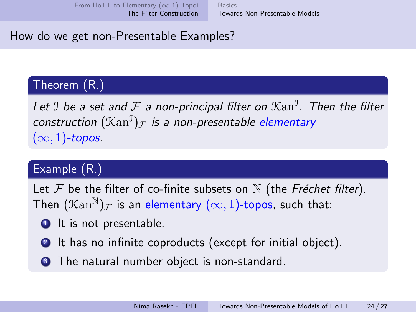# How do we get non-Presentable Examples?

# Theorem (R.)

Let  $\mathfrak I$  be a set and  ${\mathcal F}$  a non-principal filter on  $\mathfrak X\mathrm{an}^{\mathfrak I}.$  Then the filter construction  $(\mathcal{K}\text{an}^{\mathfrak{I}})_{\mathcal{F}}$  is a non-presentable elementary  $(\infty, 1)$ -topos.

# Example (R.)

Let  $\mathcal F$  be the filter of co-finite subsets on  $\mathbb N$  (the Fréchet filter). Then  $(\mathcal{K}\text{an}^{\mathbb{N}})_{\mathcal{F}}$  is an elementary  $(\infty, 1)$ -topos, such that:

- $\bullet$  It is not presentable.
- **2** It has no infinite coproducts (except for initial object).
- **3** The natural number object is non-standard.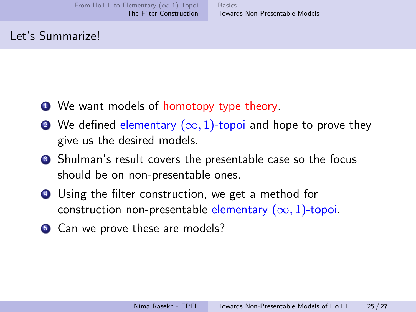#### Let's Summarize!

- **1** We want models of homotopy type theory.
- We defined elementary  $(\infty, 1)$ -topoi and hope to prove they give us the desired models.
- <sup>3</sup> Shulman's result covers the presentable case so the focus should be on non-presentable ones.
- <sup>4</sup> Using the filter construction, we get a method for construction non-presentable elementary  $(\infty, 1)$ -topoi.
- **5** Can we prove these are models?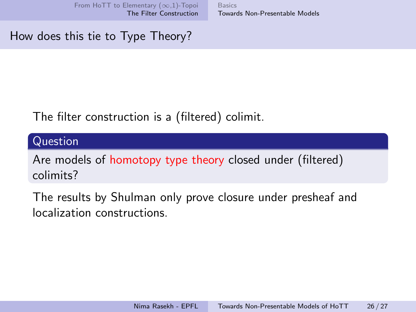**Basics** [Towards Non-Presentable Models](#page-22-0)

How does this tie to Type Theory?

# The filter construction is a (filtered) colimit.

Question

Are models of homotopy type theory closed under (filtered) colimits?

The results by Shulman only prove closure under presheaf and localization constructions.